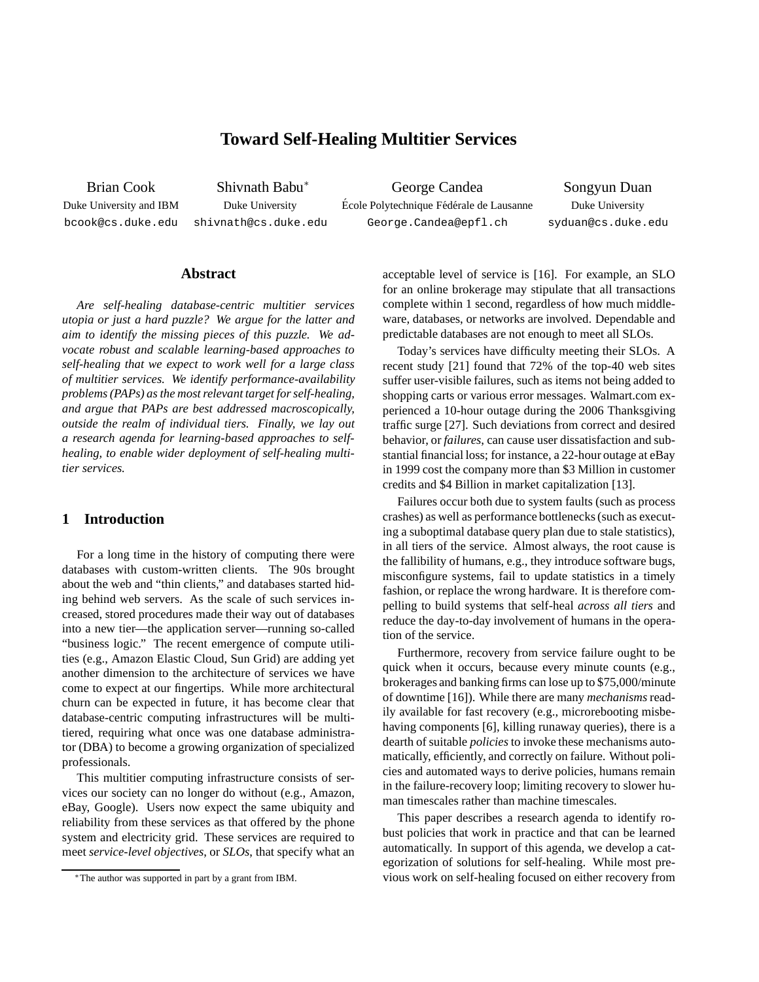# **Toward Self-Healing Multitier Services**

Brian Cook Shivnath Babu

<sup>∗</sup> George Candea Songyun Duan Duke University Duke University Ecole Polytechnique Fédérale de Lausanne Duke University bcook@cs.duke.edu shivnath@cs.duke.edu George.Candea@epfl.ch syduan@cs.duke.edu

# **Abstract**

*Are self-healing database-centric multitier services utopia or just a hard puzzle? We argue for the latter and aim to identify the missing pieces of this puzzle. We advocate robust and scalable learning-based approaches to self-healing that we expect to work well for a large class of multitier services. We identify performance-availability problems(PAPs) as the most relevant target forself-healing, and argue that PAPs are best addressed macroscopically, outside the realm of individual tiers. Finally, we lay out a research agenda for learning-based approaches to selfhealing, to enable wider deployment of self-healing multitier services.*

# **1 Introduction**

For a long time in the history of computing there were databases with custom-written clients. The 90s brought about the web and "thin clients," and databases started hiding behind web servers. As the scale of such services increased, stored procedures made their way out of databases into a new tier—the application server—running so-called "business logic." The recent emergence of compute utilities (e.g., Amazon Elastic Cloud, Sun Grid) are adding yet another dimension to the architecture of services we have come to expect at our fingertips. While more architectural churn can be expected in future, it has become clear that database-centric computing infrastructures will be multitiered, requiring what once was one database administrator (DBA) to become a growing organization of specialized professionals.

This multitier computing infrastructure consists of services our society can no longer do without (e.g., Amazon, eBay, Google). Users now expect the same ubiquity and reliability from these services as that offered by the phone system and electricity grid. These services are required to meet *service-level objectives*, or *SLOs*, that specify what an acceptable level of service is [16]. For example, an SLO for an online brokerage may stipulate that all transactions complete within 1 second, regardless of how much middleware, databases, or networks are involved. Dependable and predictable databases are not enough to meet all SLOs.

Today's services have difficulty meeting their SLOs. A recent study [21] found that 72% of the top-40 web sites suffer user-visible failures, such as items not being added to shopping carts or various error messages. Walmart.com experienced a 10-hour outage during the 2006 Thanksgiving traffic surge [27]. Such deviations from correct and desired behavior, or *failures*, can cause user dissatisfaction and substantial financial loss; for instance, a 22-hour outage at eBay in 1999 cost the company more than \$3 Million in customer credits and \$4 Billion in market capitalization [13].

Failures occur both due to system faults (such as process crashes) as well as performance bottlenecks(such as executing a suboptimal database query plan due to stale statistics), in all tiers of the service. Almost always, the root cause is the fallibility of humans, e.g., they introduce software bugs, misconfigure systems, fail to update statistics in a timely fashion, or replace the wrong hardware. It is therefore compelling to build systems that self-heal *across all tiers* and reduce the day-to-day involvement of humans in the operation of the service.

Furthermore, recovery from service failure ought to be quick when it occurs, because every minute counts (e.g., brokerages and banking firms can lose up to \$75,000/minute of downtime [16]). While there are many *mechanisms* readily available for fast recovery (e.g., microrebooting misbehaving components [6], killing runaway queries), there is a dearth of suitable *policies* to invoke these mechanisms automatically, efficiently, and correctly on failure. Without policies and automated ways to derive policies, humans remain in the failure-recovery loop; limiting recovery to slower human timescales rather than machine timescales.

This paper describes a research agenda to identify robust policies that work in practice and that can be learned automatically. In support of this agenda, we develop a categorization of solutions for self-healing. While most previous work on self-healing focused on either recovery from

<sup>∗</sup>The author was supported in part by a grant from IBM.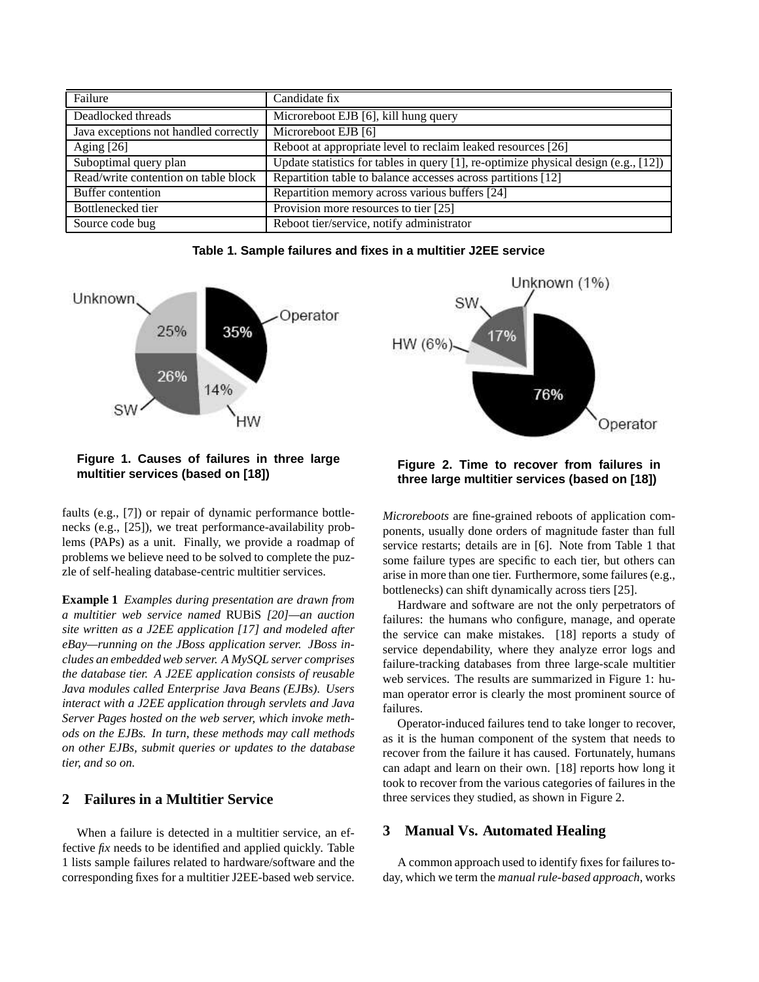| Failure                               | Candidate fix                                                                       |
|---------------------------------------|-------------------------------------------------------------------------------------|
| Deadlocked threads                    | Microreboot EJB [6], kill hung query                                                |
| Java exceptions not handled correctly | Microreboot EJB [6]                                                                 |
| Aging $[26]$                          | Reboot at appropriate level to reclaim leaked resources [26]                        |
| Suboptimal query plan                 | Update statistics for tables in query [1], re-optimize physical design (e.g., [12]) |
| Read/write contention on table block  | Repartition table to balance accesses across partitions [12]                        |
| Buffer contention                     | Repartition memory across various buffers [24]                                      |
| Bottlenecked tier                     | Provision more resources to tier [25]                                               |
| Source code bug                       | Reboot tier/service, notify administrator                                           |

**Table 1. Sample failures and fixes in a multitier J2EE service**





**Figure 1. Causes of failures in three large multitier services (based on [18])**

faults (e.g., [7]) or repair of dynamic performance bottlenecks (e.g., [25]), we treat performance-availability problems (PAPs) as a unit. Finally, we provide a roadmap of problems we believe need to be solved to complete the puzzle of self-healing database-centric multitier services.

**Example 1** *Examples during presentation are drawn from a multitier web service named* RUBiS *[20]—an auction site written as a J2EE application [17] and modeled after eBay—running on the JBoss application server. JBoss includes an embeddedweb server. A MySQL server comprises the database tier. A J2EE application consists of reusable Java modules called Enterprise Java Beans (EJBs). Users interact with a J2EE application through servlets and Java Server Pages hosted on the web server, which invoke methods on the EJBs. In turn, these methods may call methods on other EJBs, submit queries or updates to the database tier, and so on.*

# **2 Failures in a Multitier Service**

When a failure is detected in a multitier service, an effective *fix* needs to be identified and applied quickly. Table 1 lists sample failures related to hardware/software and the corresponding fixes for a multitier J2EE-based web service.

**Figure 2. Time to recover from failures in three large multitier services (based on [18])**

*Microreboots* are fine-grained reboots of application components, usually done orders of magnitude faster than full service restarts; details are in [6]. Note from Table 1 that some failure types are specific to each tier, but others can arise in more than one tier. Furthermore, some failures (e.g., bottlenecks) can shift dynamically across tiers [25].

Hardware and software are not the only perpetrators of failures: the humans who configure, manage, and operate the service can make mistakes. [18] reports a study of service dependability, where they analyze error logs and failure-tracking databases from three large-scale multitier web services. The results are summarized in Figure 1: human operator error is clearly the most prominent source of failures.

Operator-induced failures tend to take longer to recover, as it is the human component of the system that needs to recover from the failure it has caused. Fortunately, humans can adapt and learn on their own. [18] reports how long it took to recover from the various categories of failures in the three services they studied, as shown in Figure 2.

# **3 Manual Vs. Automated Healing**

A common approach used to identify fixes for failurestoday, which we term the *manual rule-based approach*, works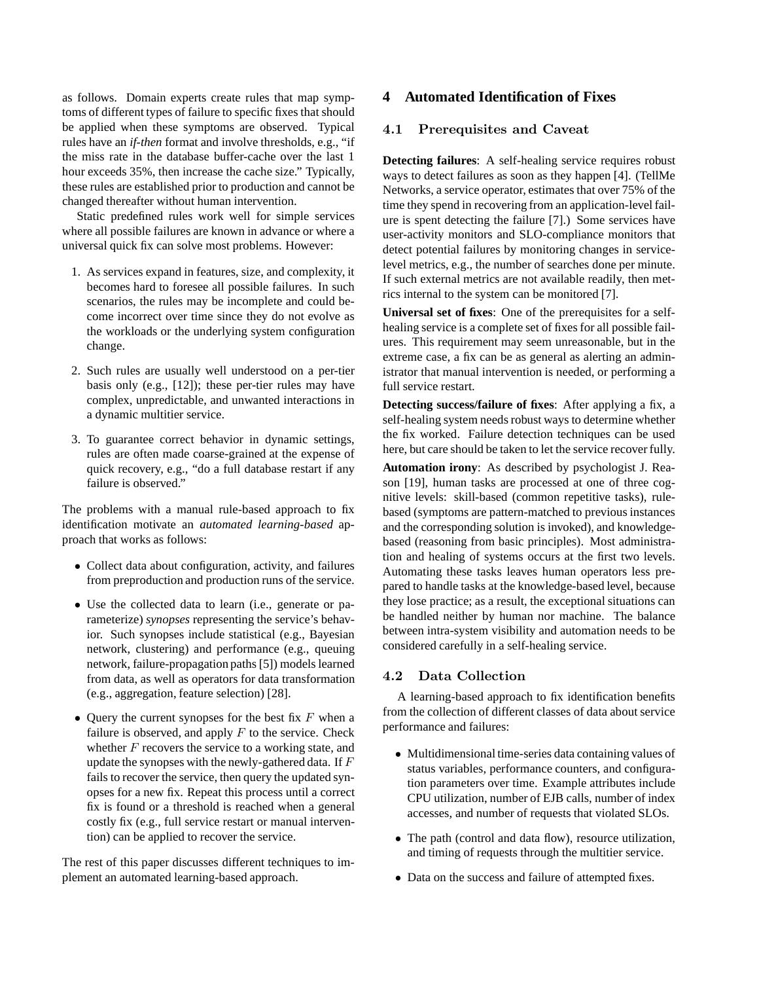as follows. Domain experts create rules that map symptoms of different types of failure to specific fixes that should be applied when these symptoms are observed. Typical rules have an *if-then* format and involve thresholds, e.g., "if the miss rate in the database buffer-cache over the last 1 hour exceeds 35%, then increase the cache size." Typically, these rules are established prior to production and cannot be changed thereafter without human intervention.

Static predefined rules work well for simple services where all possible failures are known in advance or where a universal quick fix can solve most problems. However:

- 1. As services expand in features, size, and complexity, it becomes hard to foresee all possible failures. In such scenarios, the rules may be incomplete and could become incorrect over time since they do not evolve as the workloads or the underlying system configuration change.
- 2. Such rules are usually well understood on a per-tier basis only (e.g., [12]); these per-tier rules may have complex, unpredictable, and unwanted interactions in a dynamic multitier service.
- 3. To guarantee correct behavior in dynamic settings, rules are often made coarse-grained at the expense of quick recovery, e.g., "do a full database restart if any failure is observed."

The problems with a manual rule-based approach to fix identification motivate an *automated learning-based* approach that works as follows:

- Collect data about configuration, activity, and failures from preproduction and production runs of the service.
- Use the collected data to learn (i.e., generate or parameterize) *synopses* representing the service's behavior. Such synopses include statistical (e.g., Bayesian network, clustering) and performance (e.g., queuing network, failure-propagation paths [5]) models learned from data, as well as operators for data transformation (e.g., aggregation, feature selection) [28].
- Query the current synopses for the best fix  $F$  when a failure is observed, and apply  $F$  to the service. Check whether  $F$  recovers the service to a working state, and update the synopses with the newly-gathered data. If F fails to recover the service, then query the updated synopses for a new fix. Repeat this process until a correct fix is found or a threshold is reached when a general costly fix (e.g., full service restart or manual intervention) can be applied to recover the service.

The rest of this paper discusses different techniques to implement an automated learning-based approach.

# **4 Automated Identification of Fixes**

# 4.1 Prerequisites and Caveat

**Detecting failures**: A self-healing service requires robust ways to detect failures as soon as they happen [4]. (TellMe Networks, a service operator, estimates that over 75% of the time they spend in recovering from an application-level failure is spent detecting the failure [7].) Some services have user-activity monitors and SLO-compliance monitors that detect potential failures by monitoring changes in servicelevel metrics, e.g., the number of searches done per minute. If such external metrics are not available readily, then metrics internal to the system can be monitored [7].

**Universal set of fixes**: One of the prerequisites for a selfhealing service is a complete set of fixes for all possible failures. This requirement may seem unreasonable, but in the extreme case, a fix can be as general as alerting an administrator that manual intervention is needed, or performing a full service restart.

**Detecting success/failure of fixes**: After applying a fix, a self-healing system needs robust ways to determine whether the fix worked. Failure detection techniques can be used here, but care should be taken to let the service recoverfully.

**Automation irony**: As described by psychologist J. Reason [19], human tasks are processed at one of three cognitive levels: skill-based (common repetitive tasks), rulebased (symptoms are pattern-matched to previous instances and the corresponding solution is invoked), and knowledgebased (reasoning from basic principles). Most administration and healing of systems occurs at the first two levels. Automating these tasks leaves human operators less prepared to handle tasks at the knowledge-based level, because they lose practice; as a result, the exceptional situations can be handled neither by human nor machine. The balance between intra-system visibility and automation needs to be considered carefully in a self-healing service.

## 4.2 Data Collection

A learning-based approach to fix identification benefits from the collection of different classes of data about service performance and failures:

- Multidimensional time-series data containing values of status variables, performance counters, and configuration parameters over time. Example attributes include CPU utilization, number of EJB calls, number of index accesses, and number of requests that violated SLOs.
- The path (control and data flow), resource utilization, and timing of requests through the multitier service.
- Data on the success and failure of attempted fixes.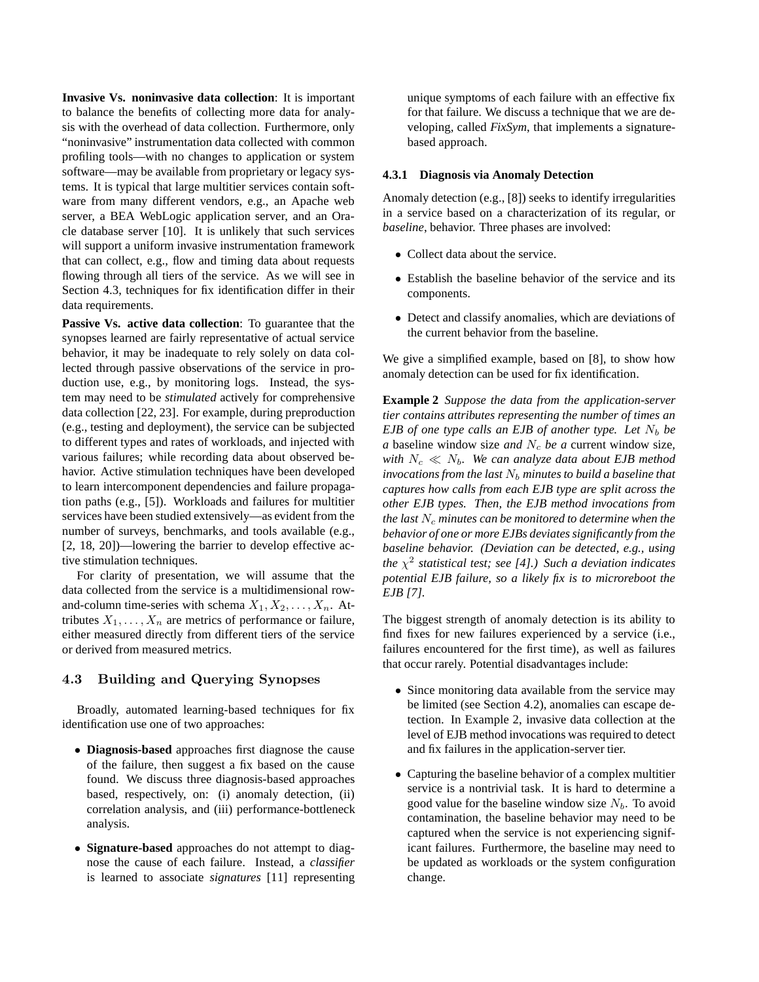**Invasive Vs. noninvasive data collection**: It is important to balance the benefits of collecting more data for analysis with the overhead of data collection. Furthermore, only "noninvasive" instrumentation data collected with common profiling tools—with no changes to application or system software—may be available from proprietary or legacy systems. It is typical that large multitier services contain software from many different vendors, e.g., an Apache web server, a BEA WebLogic application server, and an Oracle database server [10]. It is unlikely that such services will support a uniform invasive instrumentation framework that can collect, e.g., flow and timing data about requests flowing through all tiers of the service. As we will see in Section 4.3, techniques for fix identification differ in their data requirements.

**Passive Vs. active data collection**: To guarantee that the synopses learned are fairly representative of actual service behavior, it may be inadequate to rely solely on data collected through passive observations of the service in production use, e.g., by monitoring logs. Instead, the system may need to be *stimulated* actively for comprehensive data collection [22, 23]. For example, during preproduction (e.g., testing and deployment), the service can be subjected to different types and rates of workloads, and injected with various failures; while recording data about observed behavior. Active stimulation techniques have been developed to learn intercomponent dependencies and failure propagation paths (e.g., [5]). Workloads and failures for multitier services have been studied extensively—as evident from the number of surveys, benchmarks, and tools available (e.g., [2, 18, 20])—lowering the barrier to develop effective active stimulation techniques.

For clarity of presentation, we will assume that the data collected from the service is a multidimensional rowand-column time-series with schema  $X_1, X_2, \ldots, X_n$ . Attributes  $X_1, \ldots, X_n$  are metrics of performance or failure, either measured directly from different tiers of the service or derived from measured metrics.

## 4.3 Building and Querying Synopses

Broadly, automated learning-based techniques for fix identification use one of two approaches:

- **Diagnosis-based** approaches first diagnose the cause of the failure, then suggest a fix based on the cause found. We discuss three diagnosis-based approaches based, respectively, on: (i) anomaly detection, (ii) correlation analysis, and (iii) performance-bottleneck analysis.
- **Signature-based** approaches do not attempt to diagnose the cause of each failure. Instead, a *classifier* is learned to associate *signatures* [11] representing

unique symptoms of each failure with an effective fix for that failure. We discuss a technique that we are developing, called *FixSym*, that implements a signaturebased approach.

#### **4.3.1 Diagnosis via Anomaly Detection**

Anomaly detection (e.g., [8]) seeks to identify irregularities in a service based on a characterization of its regular, or *baseline*, behavior. Three phases are involved:

- Collect data about the service.
- Establish the baseline behavior of the service and its components.
- Detect and classify anomalies, which are deviations of the current behavior from the baseline.

We give a simplified example, based on [8], to show how anomaly detection can be used for fix identification.

**Example 2** *Suppose the data from the application-server tier contains attributes representing the number of times an EJB of one type calls an EJB of another type. Let*  $N_b$  *be a* baseline window size *and*  $N_c$  *be a* current window size, *with*  $N_c \ll N_b$ *. We can analyze data about EJB method invocations from the last*  $N_b$  *minutes to build a baseline that captures how calls from each EJB type are split across the other EJB types. Then, the EJB method invocations from the* last  $N_c$  *minutes can be monitored to determine when the behavior of one or more EJBs deviatessignificantly from the baseline behavior. (Deviation can be detected, e.g., using the* χ 2 *statistical test; see [4].) Such a deviation indicates potential EJB failure, so a likely fix is to microreboot the EJB [7].*

The biggest strength of anomaly detection is its ability to find fixes for new failures experienced by a service (i.e., failures encountered for the first time), as well as failures that occur rarely. Potential disadvantages include:

- Since monitoring data available from the service may be limited (see Section 4.2), anomalies can escape detection. In Example 2, invasive data collection at the level of EJB method invocations was required to detect and fix failures in the application-server tier.
- Capturing the baseline behavior of a complex multitier service is a nontrivial task. It is hard to determine a good value for the baseline window size  $N_b$ . To avoid contamination, the baseline behavior may need to be captured when the service is not experiencing significant failures. Furthermore, the baseline may need to be updated as workloads or the system configuration change.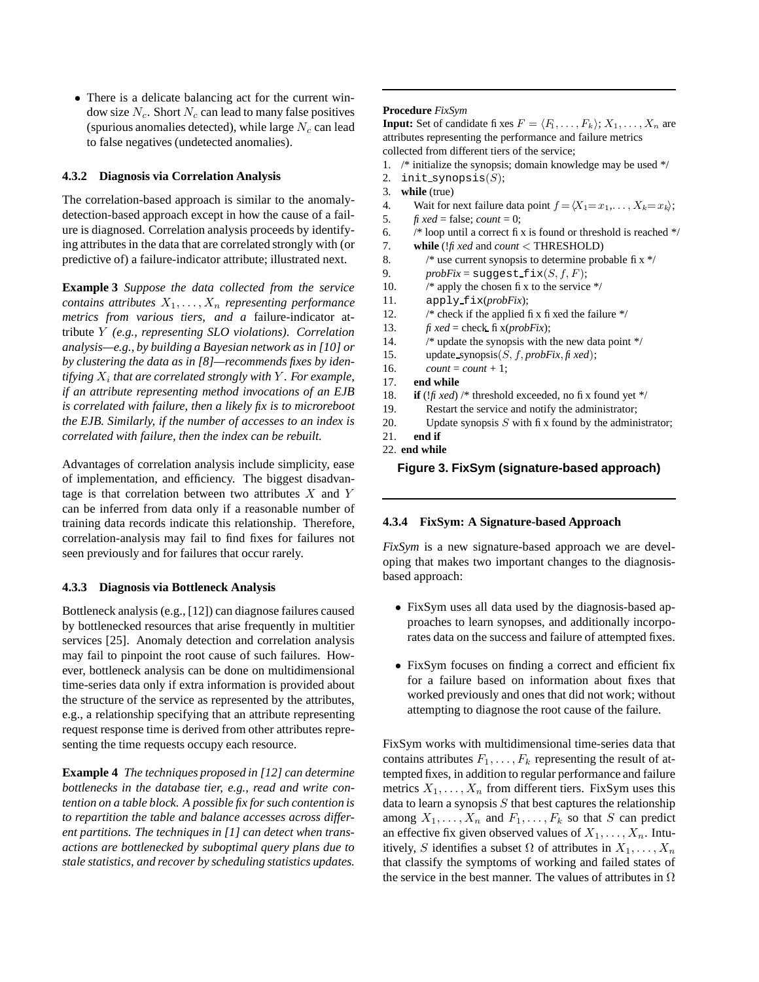• There is a delicate balancing act for the current window size  $N_c$ . Short  $N_c$  can lead to many false positives (spurious anomalies detected), while large  $N_c$  can lead to false negatives (undetected anomalies).

## **4.3.2 Diagnosis via Correlation Analysis**

The correlation-based approach is similar to the anomalydetection-based approach except in how the cause of a failure is diagnosed. Correlation analysis proceeds by identifying attributes in the data that are correlated strongly with (or predictive of) a failure-indicator attribute; illustrated next.

**Example 3** *Suppose the data collected from the service contains attributes*  $X_1, \ldots, X_n$  *representing performance metrics from various tiers, and a* failure-indicator attribute Y *(e.g., representing SLO violations). Correlation analysis—e.g., by building a Bayesian network as in [10] or by clustering the data as in [8]—recommends fixes by iden* $t$ *ifying*  $X_i$  *that* are *correlated strongly with*  $Y$ *. For example, if an attribute representing method invocations of an EJB is correlated with failure, then a likely fix is to microreboot the EJB. Similarly, if the number of accesses to an index is correlated with failure, then the index can be rebuilt.*

Advantages of correlation analysis include simplicity, ease of implementation, and efficiency. The biggest disadvantage is that correlation between two attributes  $X$  and  $Y$ can be inferred from data only if a reasonable number of training data records indicate this relationship. Therefore, correlation-analysis may fail to find fixes for failures not seen previously and for failures that occur rarely.

### **4.3.3 Diagnosis via Bottleneck Analysis**

Bottleneck analysis (e.g., [12]) can diagnose failures caused by bottlenecked resources that arise frequently in multitier services [25]. Anomaly detection and correlation analysis may fail to pinpoint the root cause of such failures. However, bottleneck analysis can be done on multidimensional time-series data only if extra information is provided about the structure of the service as represented by the attributes, e.g., a relationship specifying that an attribute representing request response time is derived from other attributes representing the time requests occupy each resource.

**Example 4** *The techniques proposed in [12] can determine bottlenecks in the database tier, e.g., read and write contention on a table block. A possible fix for such contention is to repartition the table and balance accesses across different partitions. The techniques in [1] can detect when transactions are bottlenecked by suboptimal query plans due to stale statistics, and recover by scheduling statistics updates.*

#### **Procedure** *FixSym*

**Input:** Set of candidate fixes  $F = \langle F_1, \ldots, F_k \rangle; X_1, \ldots, X_n$  are attributes representing the performance and failure metrics collected from different tiers of the service;

- 1. /\* initialize the synopsis; domain knowledge may be used \*/
- 2. init\_synopsis $(S);$
- 3. **while** (true)
- 4. Wait for next failure data point  $f = \langle X_1 = x_1, \ldots, X_k = x_k \rangle$ ;
- 5. *fi xed* = false; *count* = 0;
- 6.  $\frac{1}{8}$  /\* loop until a correct fix is found or threshold is reached \*/
- 7. **while** (!*fixed* and *count* < THRESHOLD)
- 8.  $\frac{1}{8}$  /\* use current synopsis to determine probable fi x \*/
- 9. *probFix* = suggest  $fix(S, f, F)$ ;
- 10.  $\frac{1}{2}$  /\* apply the chosen fix to the service \*/
- 11. apply fix(*probFix*);
- 12.  $\frac{1}{2}$  /\* check if the applied fix fixed the failure \*/
- 13. *fixed* = check fi  $x$ (*probFix*);
- 14. /\* update the synopsis with the new data point \*/
- 15. update synopsis(S, f, *probFix*, *fixed*);
- 16. *count* = *count* + 1;
- 17. **end while**
- 18. **if** ( $!f$ *i* $*$ *ed*) /\* threshold exceeded, no fix found yet \*/
- 19. Restart the service and notify the administrator;
- 20. Update synopsis  $S$  with fix found by the administrator;
- 21. **end if**
- 22. **end while**

### **Figure 3. FixSym (signature-based approach)**

#### **4.3.4 FixSym: A Signature-based Approach**

*FixSym* is a new signature-based approach we are developing that makes two important changes to the diagnosisbased approach:

- FixSym uses all data used by the diagnosis-based approaches to learn synopses, and additionally incorporates data on the success and failure of attempted fixes.
- FixSym focuses on finding a correct and efficient fix for a failure based on information about fixes that worked previously and ones that did not work; without attempting to diagnose the root cause of the failure.

FixSym works with multidimensional time-series data that contains attributes  $F_1, \ldots, F_k$  representing the result of attempted fixes, in addition to regular performance and failure metrics  $X_1, \ldots, X_n$  from different tiers. FixSym uses this data to learn a synopsis  $S$  that best captures the relationship among  $X_1, \ldots, X_n$  and  $F_1, \ldots, F_k$  so that S can predict an effective fix given observed values of  $X_1, \ldots, X_n$ . Intuitively, S identifies a subset  $\Omega$  of attributes in  $X_1, \ldots, X_n$ that classify the symptoms of working and failed states of the service in the best manner. The values of attributes in  $\Omega$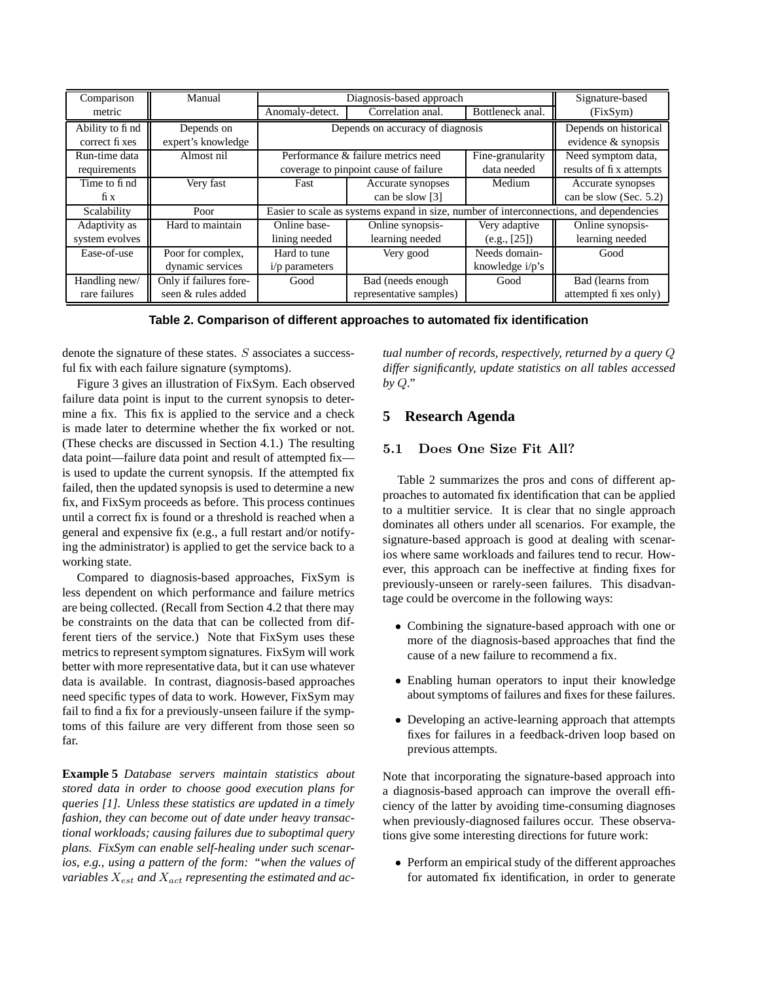| Comparison      | Manual                 | Diagnosis-based approach                                                                |                         |                       | Signature-based         |  |
|-----------------|------------------------|-----------------------------------------------------------------------------------------|-------------------------|-----------------------|-------------------------|--|
| metric          |                        | Anomaly-detect.                                                                         | Correlation anal.       | Bottleneck anal.      | (FixSym)                |  |
| Ability to find | Depends on             | Depends on accuracy of diagnosis                                                        |                         | Depends on historical |                         |  |
| correct fi xes  | expert's knowledge     |                                                                                         |                         |                       | evidence & synopsis     |  |
| Run-time data   | Almost nil             | Performance & failure metrics need                                                      |                         | Fine-granularity      | Need symptom data,      |  |
| requirements    |                        | data needed<br>coverage to pinpoint cause of failure                                    |                         |                       | results of fix attempts |  |
| Time to find    | Very fast              | Fast                                                                                    | Accurate synopses       | Medium                | Accurate synopses       |  |
| fix             |                        |                                                                                         | can be slow [3]         |                       | can be slow (Sec. 5.2)  |  |
| Scalability     | Poor                   | Easier to scale as systems expand in size, number of interconnections, and dependencies |                         |                       |                         |  |
| Adaptivity as   | Hard to maintain       | Online base-                                                                            | Online synopsis-        | Very adaptive         | Online synopsis-        |  |
| system evolves  |                        | lining needed                                                                           | learning needed         | (e.g., [25])          | learning needed         |  |
| Ease-of-use     | Poor for complex,      | Hard to tune                                                                            | Very good               | Needs domain-         | Good                    |  |
|                 | dynamic services       | $i/p$ parameters                                                                        |                         | knowledge i/p's       |                         |  |
| Handling new/   | Only if failures fore- | Good                                                                                    | Bad (needs enough)      | Good                  | Bad (learns from        |  |
| rare failures   | seen & rules added     |                                                                                         | representative samples) |                       | attempted fi xes only)  |  |

**Table 2. Comparison of different approaches to automated fix identification**

denote the signature of these states. S associates a successful fix with each failure signature (symptoms).

Figure 3 gives an illustration of FixSym. Each observed failure data point is input to the current synopsis to determine a fix. This fix is applied to the service and a check is made later to determine whether the fix worked or not. (These checks are discussed in Section 4.1.) The resulting data point—failure data point and result of attempted fix is used to update the current synopsis. If the attempted fix failed, then the updated synopsis is used to determine a new fix, and FixSym proceeds as before. This process continues until a correct fix is found or a threshold is reached when a general and expensive fix (e.g., a full restart and/or notifying the administrator) is applied to get the service back to a working state.

Compared to diagnosis-based approaches, FixSym is less dependent on which performance and failure metrics are being collected. (Recall from Section 4.2 that there may be constraints on the data that can be collected from different tiers of the service.) Note that FixSym uses these metrics to represent symptom signatures. FixSym will work better with more representative data, but it can use whatever data is available. In contrast, diagnosis-based approaches need specific types of data to work. However, FixSym may fail to find a fix for a previously-unseen failure if the symptoms of this failure are very different from those seen so far.

**Example 5** *Database servers maintain statistics about stored data in order to choose good execution plans for queries [1]. Unless these statistics are updated in a timely fashion, they can become out of date under heavy transactional workloads; causing failures due to suboptimal query plans. FixSym can enable self-healing under such scenarios, e.g., using a pattern of the form: "when the values of variables*  $X_{est}$  *and*  $X_{act}$  *representing the estimated and ac-* *tual number of records, respectively, returned by a query* Q *differ significantly, update statistics on all tables accessed by* Q*."*

# **5 Research Agenda**

# 5.1 Does One Size Fit All?

Table 2 summarizes the pros and cons of different approaches to automated fix identification that can be applied to a multitier service. It is clear that no single approach dominates all others under all scenarios. For example, the signature-based approach is good at dealing with scenarios where same workloads and failures tend to recur. However, this approach can be ineffective at finding fixes for previously-unseen or rarely-seen failures. This disadvantage could be overcome in the following ways:

- Combining the signature-based approach with one or more of the diagnosis-based approaches that find the cause of a new failure to recommend a fix.
- Enabling human operators to input their knowledge about symptoms of failures and fixes for these failures.
- Developing an active-learning approach that attempts fixes for failures in a feedback-driven loop based on previous attempts.

Note that incorporating the signature-based approach into a diagnosis-based approach can improve the overall efficiency of the latter by avoiding time-consuming diagnoses when previously-diagnosed failures occur. These observations give some interesting directions for future work:

• Perform an empirical study of the different approaches for automated fix identification, in order to generate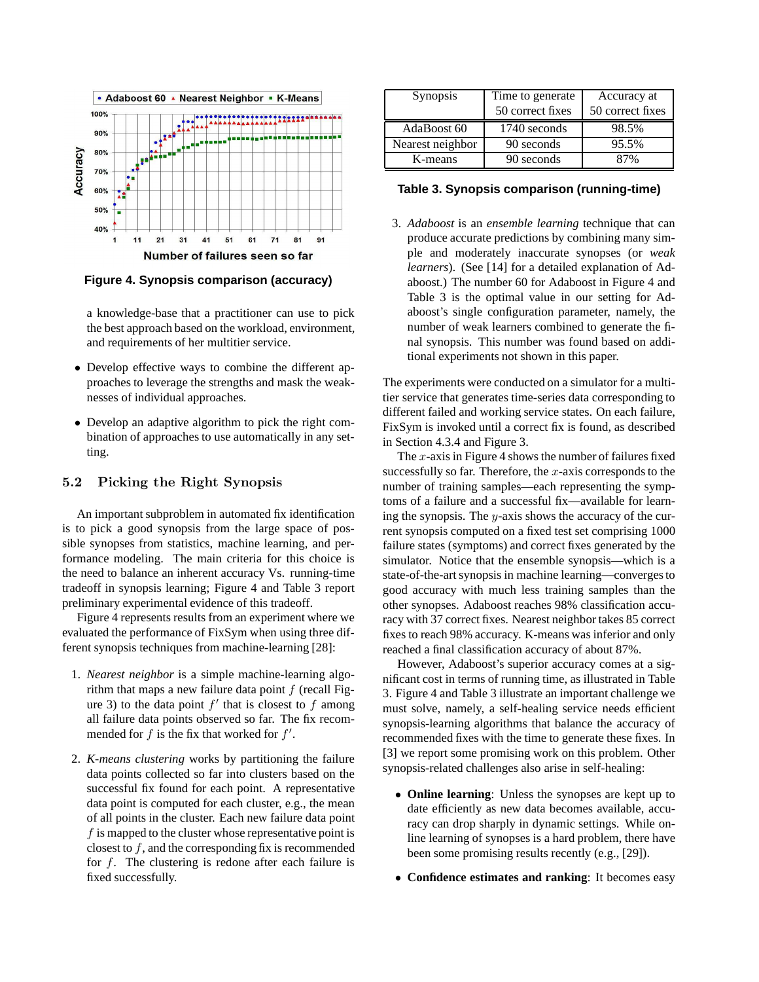

**Figure 4. Synopsis comparison (accuracy)**

a knowledge-base that a practitioner can use to pick the best approach based on the workload, environment, and requirements of her multitier service.

- Develop effective ways to combine the different approaches to leverage the strengths and mask the weaknesses of individual approaches.
- Develop an adaptive algorithm to pick the right combination of approaches to use automatically in any setting.

## 5.2 Picking the Right Synopsis

An important subproblem in automated fix identification is to pick a good synopsis from the large space of possible synopses from statistics, machine learning, and performance modeling. The main criteria for this choice is the need to balance an inherent accuracy Vs. running-time tradeoff in synopsis learning; Figure 4 and Table 3 report preliminary experimental evidence of this tradeoff.

Figure 4 represents results from an experiment where we evaluated the performance of FixSym when using three different synopsis techniques from machine-learning [28]:

- 1. *Nearest neighbor* is a simple machine-learning algorithm that maps a new failure data point  $f$  (recall Figure 3) to the data point  $f'$  that is closest to f among all failure data points observed so far. The fix recommended for f is the fix that worked for  $f'$ .
- 2. *K-means clustering* works by partitioning the failure data points collected so far into clusters based on the successful fix found for each point. A representative data point is computed for each cluster, e.g., the mean of all points in the cluster. Each new failure data point  $f$  is mapped to the cluster whose representative point is closest to f, and the corresponding fix is recommended for f. The clustering is redone after each failure is fixed successfully.

| Synopsis         | Time to generate<br>Accuracy at<br>50 correct fixes<br>50 correct fixes |       |
|------------------|-------------------------------------------------------------------------|-------|
| AdaBoost 60      | 1740 seconds                                                            | 98.5% |
| Nearest neighbor | 90 seconds                                                              | 95.5% |
| K-means          | 90 seconds                                                              | 87%   |

## **Table 3. Synopsis comparison (running-time)**

3. *Adaboost* is an *ensemble learning* technique that can produce accurate predictions by combining many simple and moderately inaccurate synopses (or *weak learners*). (See [14] for a detailed explanation of Adaboost.) The number 60 for Adaboost in Figure 4 and Table 3 is the optimal value in our setting for Adaboost's single configuration parameter, namely, the number of weak learners combined to generate the final synopsis. This number was found based on additional experiments not shown in this paper.

The experiments were conducted on a simulator for a multitier service that generates time-series data corresponding to different failed and working service states. On each failure, FixSym is invoked until a correct fix is found, as described in Section 4.3.4 and Figure 3.

The  $x$ -axis in Figure 4 shows the number of failures fixed successfully so far. Therefore, the  $x$ -axis corresponds to the number of training samples—each representing the symptoms of a failure and a successful fix—available for learning the synopsis. The y-axis shows the accuracy of the current synopsis computed on a fixed test set comprising 1000 failure states (symptoms) and correct fixes generated by the simulator. Notice that the ensemble synopsis—which is a state-of-the-art synopsis in machine learning—convergesto good accuracy with much less training samples than the other synopses. Adaboost reaches 98% classification accuracy with 37 correct fixes. Nearest neighbor takes 85 correct fixes to reach 98% accuracy. K-means was inferior and only reached a final classification accuracy of about 87%.

However, Adaboost's superior accuracy comes at a significant cost in terms of running time, as illustrated in Table 3. Figure 4 and Table 3 illustrate an important challenge we must solve, namely, a self-healing service needs efficient synopsis-learning algorithms that balance the accuracy of recommended fixes with the time to generate these fixes. In [3] we report some promising work on this problem. Other synopsis-related challenges also arise in self-healing:

- **Online learning**: Unless the synopses are kept up to date efficiently as new data becomes available, accuracy can drop sharply in dynamic settings. While online learning of synopses is a hard problem, there have been some promising results recently (e.g., [29]).
- **Confidence estimates and ranking**: It becomes easy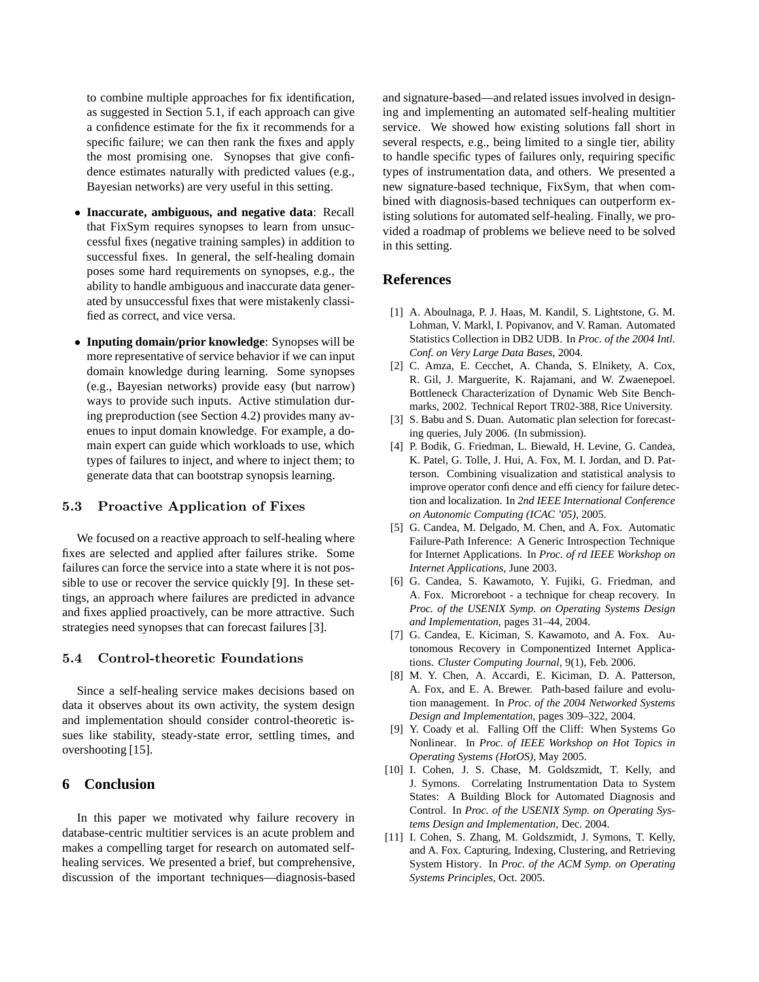to combine multiple approaches for fix identification, as suggested in Section 5.1, if each approach can give a confidence estimate for the fix it recommends for a specific failure; we can then rank the fixes and apply the most promising one. Synopses that give confidence estimates naturally with predicted values (e.g., Bayesian networks) are very useful in this setting.

- **Inaccurate, ambiguous, and negative data**: Recall that FixSym requires synopses to learn from unsuccessful fixes (negative training samples) in addition to successful fixes. In general, the self-healing domain poses some hard requirements on synopses, e.g., the ability to handle ambiguous and inaccurate data generated by unsuccessful fixes that were mistakenly classified as correct, and vice versa.
- **Inputing domain/prior knowledge**: Synopses will be more representative of service behavior if we can input domain knowledge during learning. Some synopses (e.g., Bayesian networks) provide easy (but narrow) ways to provide such inputs. Active stimulation during preproduction (see Section 4.2) provides many avenues to input domain knowledge. For example, a domain expert can guide which workloads to use, which types of failures to inject, and where to inject them; to generate data that can bootstrap synopsis learning.

## 5.3 Proactive Application of Fixes

We focused on a reactive approach to self-healing where fixes are selected and applied after failures strike. Some failures can force the service into a state where it is not possible to use or recover the service quickly [9]. In these settings, an approach where failures are predicted in advance and fixes applied proactively, can be more attractive. Such strategies need synopses that can forecast failures [3].

## 5.4 Control-theoretic Foundations

Since a self-healing service makes decisions based on data it observes about its own activity, the system design and implementation should consider control-theoretic issues like stability, steady-state error, settling times, and overshooting [15].

# **6 Conclusion**

In this paper we motivated why failure recovery in database-centric multitier services is an acute problem and makes a compelling target for research on automated selfhealing services. We presented a brief, but comprehensive, discussion of the important techniques—diagnosis-based and signature-based—and related issues involved in designing and implementing an automated self-healing multitier service. We showed how existing solutions fall short in several respects, e.g., being limited to a single tier, ability to handle specific types of failures only, requiring specific types of instrumentation data, and others. We presented a new signature-based technique, FixSym, that when combined with diagnosis-based techniques can outperform existing solutions for automated self-healing. Finally, we provided a roadmap of problems we believe need to be solved in this setting.

## **References**

- [1] A. Aboulnaga, P. J. Haas, M. Kandil, S. Lightstone, G. M. Lohman, V. Markl, I. Popivanov, and V. Raman. Automated Statistics Collection in DB2 UDB. In *Proc. of the 2004 Intl. Conf. on Very Large Data Bases*, 2004.
- [2] C. Amza, E. Cecchet, A. Chanda, S. Elnikety, A. Cox, R. Gil, J. Marguerite, K. Rajamani, and W. Zwaenepoel. Bottleneck Characterization of Dynamic Web Site Benchmarks, 2002. Technical Report TR02-388, Rice University.
- [3] S. Babu and S. Duan. Automatic plan selection for forecasting queries, July 2006. (In submission).
- [4] P. Bodik, G. Friedman, L. Biewald, H. Levine, G. Candea, K. Patel, G. Tolle, J. Hui, A. Fox, M. I. Jordan, and D. Patterson. Combining visualization and statistical analysis to improve operator confidence and efficiency for failure detection and localization. In *2nd IEEE International Conference on Autonomic Computing (ICAC '05)*, 2005.
- [5] G. Candea, M. Delgado, M. Chen, and A. Fox. Automatic Failure-Path Inference: A Generic Introspection Technique for Internet Applications. In *Proc. of rd IEEE Workshop on Internet Applications*, June 2003.
- [6] G. Candea, S. Kawamoto, Y. Fujiki, G. Friedman, and A. Fox. Microreboot - a technique for cheap recovery. In *Proc. of the USENIX Symp. on Operating Systems Design and Implementation*, pages 31–44, 2004.
- [7] G. Candea, E. Kiciman, S. Kawamoto, and A. Fox. Autonomous Recovery in Componentized Internet Applications. *Cluster Computing Journal*, 9(1), Feb. 2006.
- [8] M. Y. Chen, A. Accardi, E. Kiciman, D. A. Patterson, A. Fox, and E. A. Brewer. Path-based failure and evolution management. In *Proc. of the 2004 Networked Systems Design and Implementation*, pages 309–322, 2004.
- [9] Y. Coady et al. Falling Off the Cliff: When Systems Go Nonlinear. In *Proc. of IEEE Workshop on Hot Topics in Operating Systems (HotOS)*, May 2005.
- [10] I. Cohen, J. S. Chase, M. Goldszmidt, T. Kelly, and J. Symons. Correlating Instrumentation Data to System States: A Building Block for Automated Diagnosis and Control. In *Proc. of the USENIX Symp. on Operating Systems Design and Implementation*, Dec. 2004.
- [11] I. Cohen, S. Zhang, M. Goldszmidt, J. Symons, T. Kelly, and A. Fox. Capturing, Indexing, Clustering, and Retrieving System History. In *Proc. of the ACM Symp. on Operating Systems Principles*, Oct. 2005.